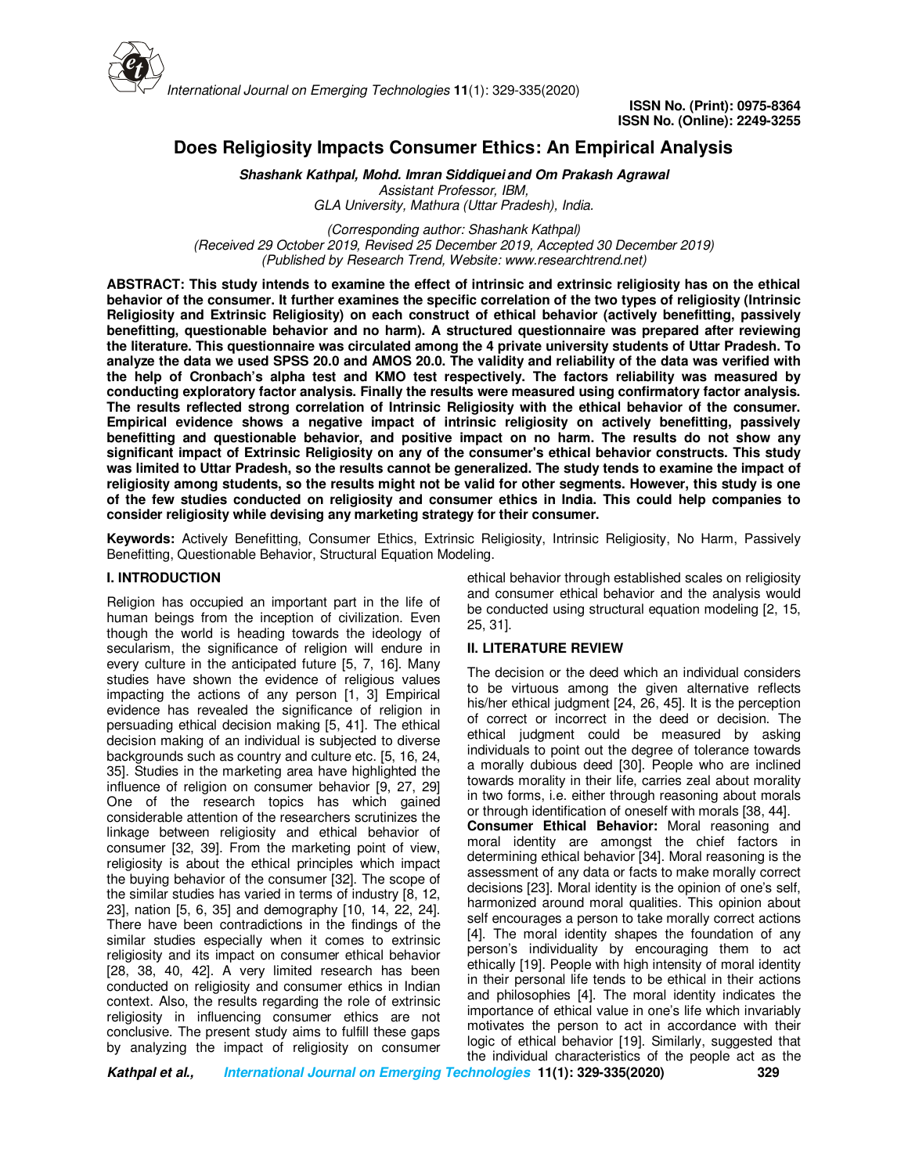

**ISSN No. (Print): 0975-8364 ISSN No. (Online): 2249-3255** 

# **Does Religiosity Impacts Consumer Ethics: An Empirical Analysis**

**Shashank Kathpal, Mohd. Imran Siddiquei and Om Prakash Agrawal** *Assistant Professor, IBM,* 

*GLA University, Mathura (Uttar Pradesh), India.*

*(Corresponding author: Shashank Kathpal) (Received 29 October 2019, Revised 25 December 2019, Accepted 30 December 2019) (Published by Research Trend, Website: www.researchtrend.net)*

**ABSTRACT: This study intends to examine the effect of intrinsic and extrinsic religiosity has on the ethical behavior of the consumer. It further examines the specific correlation of the two types of religiosity (Intrinsic Religiosity and Extrinsic Religiosity) on each construct of ethical behavior (actively benefitting, passively benefitting, questionable behavior and no harm). A structured questionnaire was prepared after reviewing the literature. This questionnaire was circulated among the 4 private university students of Uttar Pradesh. To analyze the data we used SPSS 20.0 and AMOS 20.0. The validity and reliability of the data was verified with the help of Cronbach's alpha test and KMO test respectively. The factors reliability was measured by conducting exploratory factor analysis. Finally the results were measured using confirmatory factor analysis. The results reflected strong correlation of Intrinsic Religiosity with the ethical behavior of the consumer. Empirical evidence shows a negative impact of intrinsic religiosity on actively benefitting, passively benefitting and questionable behavior, and positive impact on no harm. The results do not show any significant impact of Extrinsic Religiosity on any of the consumer's ethical behavior constructs. This study was limited to Uttar Pradesh, so the results cannot be generalized. The study tends to examine the impact of religiosity among students, so the results might not be valid for other segments. However, this study is one of the few studies conducted on religiosity and consumer ethics in India. This could help companies to consider religiosity while devising any marketing strategy for their consumer.** 

**Keywords:** Actively Benefitting, Consumer Ethics, Extrinsic Religiosity, Intrinsic Religiosity, No Harm, Passively Benefitting, Questionable Behavior, Structural Equation Modeling.

# **I. INTRODUCTION**

Religion has occupied an important part in the life of human beings from the inception of civilization. Even though the world is heading towards the ideology of secularism, the significance of religion will endure in every culture in the anticipated future [5, 7, 16]. Many studies have shown the evidence of religious values impacting the actions of any person [1, 3] Empirical evidence has revealed the significance of religion in persuading ethical decision making [5, 41]. The ethical decision making of an individual is subjected to diverse backgrounds such as country and culture etc. [5, 16, 24, 35]. Studies in the marketing area have highlighted the influence of religion on consumer behavior [9, 27, 29] One of the research topics has which gained considerable attention of the researchers scrutinizes the linkage between religiosity and ethical behavior of consumer [32, 39]. From the marketing point of view, religiosity is about the ethical principles which impact the buying behavior of the consumer [32]. The scope of the similar studies has varied in terms of industry [8, 12, 23], nation [5, 6, 35] and demography [10, 14, 22, 24]. There have been contradictions in the findings of the similar studies especially when it comes to extrinsic religiosity and its impact on consumer ethical behavior [28, 38, 40, 42]. A very limited research has been conducted on religiosity and consumer ethics in Indian context. Also, the results regarding the role of extrinsic religiosity in influencing consumer ethics are not conclusive. The present study aims to fulfill these gaps by analyzing the impact of religiosity on consumer

ethical behavior through established scales on religiosity and consumer ethical behavior and the analysis would be conducted using structural equation modeling [2, 15, 25, 31].

# **II. LITERATURE REVIEW**

The decision or the deed which an individual considers to be virtuous among the given alternative reflects his/her ethical judgment [24, 26, 45]. It is the perception of correct or incorrect in the deed or decision. The ethical judgment could be measured by asking individuals to point out the degree of tolerance towards a morally dubious deed [30]. People who are inclined towards morality in their life, carries zeal about morality in two forms, i.e. either through reasoning about morals or through identification of oneself with morals [38, 44].

**Consumer Ethical Behavior:** Moral reasoning and moral identity are amongst the chief factors in determining ethical behavior [34]. Moral reasoning is the assessment of any data or facts to make morally correct decisions [23]. Moral identity is the opinion of one's self, harmonized around moral qualities. This opinion about self encourages a person to take morally correct actions [4]. The moral identity shapes the foundation of any person's individuality by encouraging them to act ethically [19]. People with high intensity of moral identity in their personal life tends to be ethical in their actions and philosophies [4]. The moral identity indicates the importance of ethical value in one's life which invariably motivates the person to act in accordance with their logic of ethical behavior [19]. Similarly, suggested that the individual characteristics of the people act as the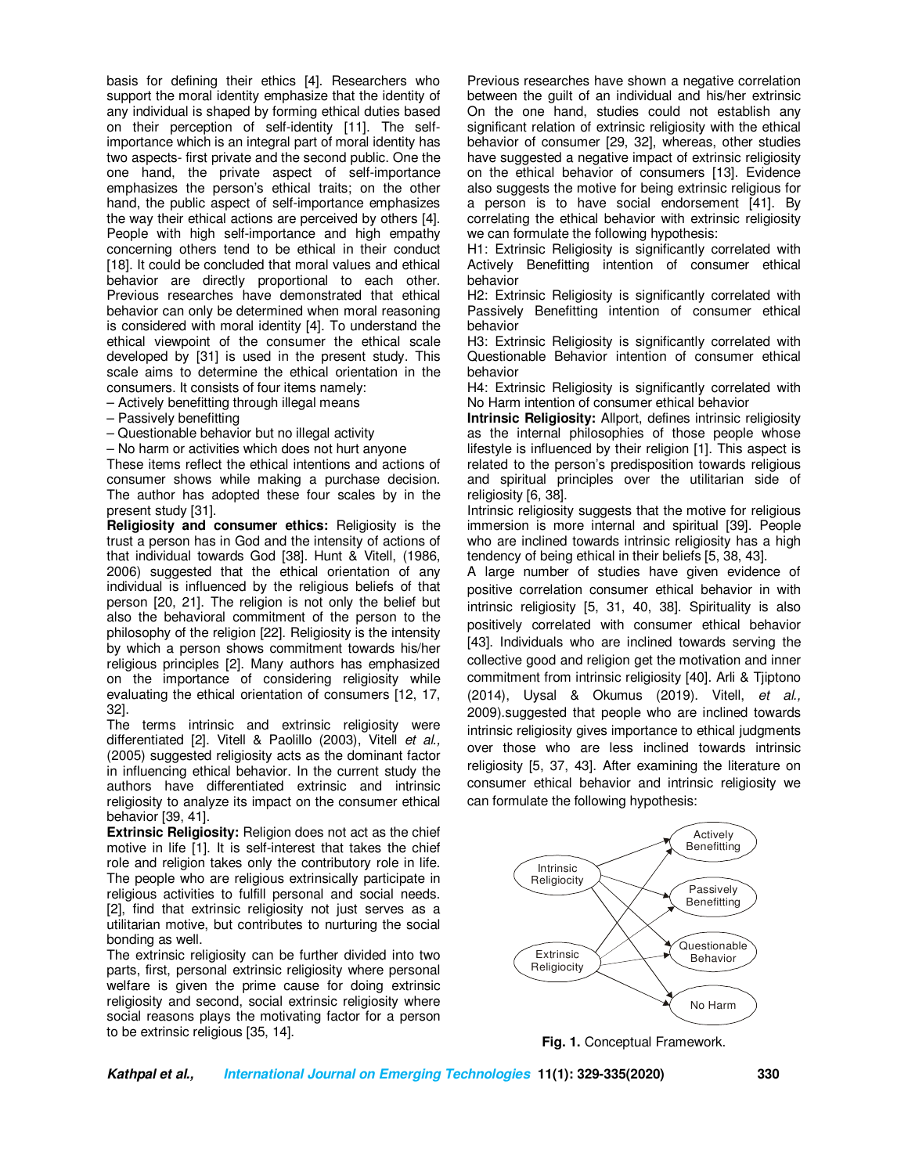basis for defining their ethics [4]. Researchers who support the moral identity emphasize that the identity of any individual is shaped by forming ethical duties based on their perception of self-identity [11]. The selfimportance which is an integral part of moral identity has two aspects- first private and the second public. One the one hand, the private aspect of self-importance emphasizes the person's ethical traits; on the other hand, the public aspect of self-importance emphasizes the way their ethical actions are perceived by others [4]. People with high self-importance and high empathy concerning others tend to be ethical in their conduct [18]. It could be concluded that moral values and ethical behavior are directly proportional to each other. Previous researches have demonstrated that ethical behavior can only be determined when moral reasoning is considered with moral identity [4]. To understand the ethical viewpoint of the consumer the ethical scale developed by [31] is used in the present study. This scale aims to determine the ethical orientation in the consumers. It consists of four items namely:

– Actively benefitting through illegal means

– Passively benefitting

– Questionable behavior but no illegal activity

– No harm or activities which does not hurt anyone

These items reflect the ethical intentions and actions of consumer shows while making a purchase decision. The author has adopted these four scales by in the present study [31].

**Religiosity and consumer ethics:** Religiosity is the trust a person has in God and the intensity of actions of that individual towards God [38]. Hunt & Vitell, (1986, 2006) suggested that the ethical orientation of any individual is influenced by the religious beliefs of that person [20, 21]. The religion is not only the belief but also the behavioral commitment of the person to the philosophy of the religion [22]. Religiosity is the intensity by which a person shows commitment towards his/her religious principles [2]. Many authors has emphasized on the importance of considering religiosity while evaluating the ethical orientation of consumers [12, 17, 32].

The terms intrinsic and extrinsic religiosity were differentiated [2]. Vitell & Paolillo (2003), Vitell *et al.,* (2005) suggested religiosity acts as the dominant factor in influencing ethical behavior. In the current study the authors have differentiated extrinsic and intrinsic religiosity to analyze its impact on the consumer ethical behavior [39, 41].

**Extrinsic Religiosity:** Religion does not act as the chief motive in life [1]. It is self-interest that takes the chief role and religion takes only the contributory role in life. The people who are religious extrinsically participate in religious activities to fulfill personal and social needs. [2], find that extrinsic religiosity not just serves as a utilitarian motive, but contributes to nurturing the social bonding as well.

The extrinsic religiosity can be further divided into two parts, first, personal extrinsic religiosity where personal welfare is given the prime cause for doing extrinsic religiosity and second, social extrinsic religiosity where social reasons plays the motivating factor for a person to be extrinsic religious [35, 14].

Previous researches have shown a negative correlation between the guilt of an individual and his/her extrinsic On the one hand, studies could not establish any significant relation of extrinsic religiosity with the ethical behavior of consumer [29, 32], whereas, other studies have suggested a negative impact of extrinsic religiosity on the ethical behavior of consumers [13]. Evidence also suggests the motive for being extrinsic religious for a person is to have social endorsement [41]. By correlating the ethical behavior with extrinsic religiosity we can formulate the following hypothesis:

H1: Extrinsic Religiosity is significantly correlated with Actively Benefitting intention of consumer ethical behavior

H2: Extrinsic Religiosity is significantly correlated with Passively Benefitting intention of consumer ethical behavior

H3: Extrinsic Religiosity is significantly correlated with Questionable Behavior intention of consumer ethical behavior

H4: Extrinsic Religiosity is significantly correlated with No Harm intention of consumer ethical behavior

**Intrinsic Religiosity:** Allport, defines intrinsic religiosity as the internal philosophies of those people whose lifestyle is influenced by their religion [1]. This aspect is related to the person's predisposition towards religious and spiritual principles over the utilitarian side of religiosity [6, 38].

Intrinsic religiosity suggests that the motive for religious immersion is more internal and spiritual [39]. People who are inclined towards intrinsic religiosity has a high tendency of being ethical in their beliefs [5, 38, 43].

A large number of studies have given evidence of positive correlation consumer ethical behavior in with intrinsic religiosity [5, 31, 40, 38]. Spirituality is also positively correlated with consumer ethical behavior [43]. Individuals who are inclined towards serving the collective good and religion get the motivation and inner commitment from intrinsic religiosity [40]. Arli & Tjiptono (2014), Uysal & Okumus (2019). Vitell, *et al.,* 2009).suggested that people who are inclined towards intrinsic religiosity gives importance to ethical judgments over those who are less inclined towards intrinsic religiosity [5, 37, 43]. After examining the literature on consumer ethical behavior and intrinsic religiosity we can formulate the following hypothesis:



**Fig. 1.** Conceptual Framework.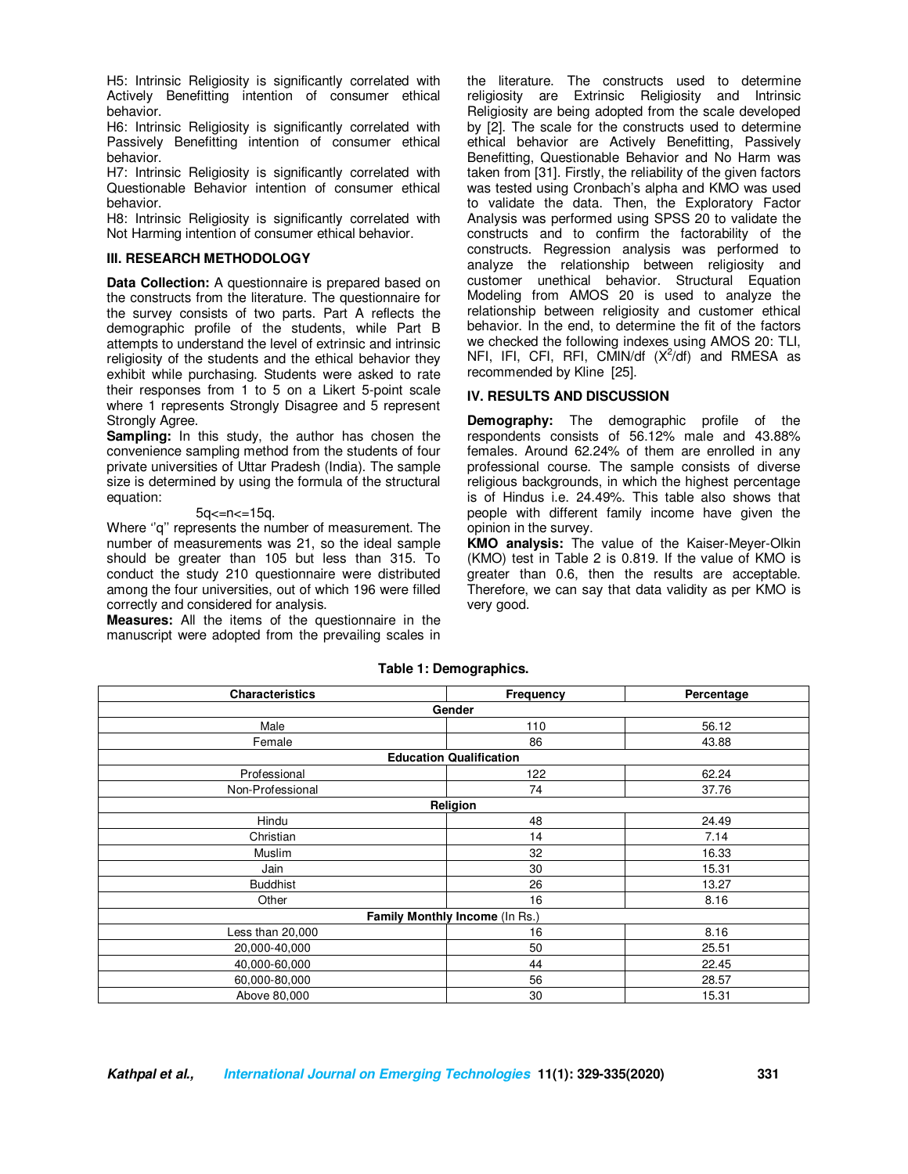H5: Intrinsic Religiosity is significantly correlated with Actively Benefitting intention of consumer ethical behavior.

H6: Intrinsic Religiosity is significantly correlated with Passively Benefitting intention of consumer ethical behavior.

H7: Intrinsic Religiosity is significantly correlated with Questionable Behavior intention of consumer ethical behavior.

H8: Intrinsic Religiosity is significantly correlated with Not Harming intention of consumer ethical behavior.

## **III. RESEARCH METHODOLOGY**

**Data Collection:** A questionnaire is prepared based on the constructs from the literature. The questionnaire for the survey consists of two parts. Part A reflects the demographic profile of the students, while Part B attempts to understand the level of extrinsic and intrinsic religiosity of the students and the ethical behavior they exhibit while purchasing. Students were asked to rate their responses from 1 to 5 on a Likert 5-point scale where 1 represents Strongly Disagree and 5 represent Strongly Agree.

**Sampling:** In this study, the author has chosen the convenience sampling method from the students of four private universities of Uttar Pradesh (India). The sample size is determined by using the formula of the structural equation:

#### 5q<=n<=15q.

Where "q" represents the number of measurement. The number of measurements was 21, so the ideal sample should be greater than 105 but less than 315. To conduct the study 210 questionnaire were distributed among the four universities, out of which 196 were filled correctly and considered for analysis.

**Measures:** All the items of the questionnaire in the manuscript were adopted from the prevailing scales in the literature. The constructs used to determine religiosity are Extrinsic Religiosity and Intrinsic Religiosity are being adopted from the scale developed by [2]. The scale for the constructs used to determine ethical behavior are Actively Benefitting, Passively Benefitting, Questionable Behavior and No Harm was taken from [31]. Firstly, the reliability of the given factors was tested using Cronbach's alpha and KMO was used to validate the data. Then, the Exploratory Factor Analysis was performed using SPSS 20 to validate the constructs and to confirm the factorability of the constructs. Regression analysis was performed to analyze the relationship between religiosity and customer unethical behavior. Structural Equation Modeling from AMOS 20 is used to analyze the relationship between religiosity and customer ethical behavior. In the end, to determine the fit of the factors we checked the following indexes using AMOS 20: TLI, NFI, IFI, CFI, RFI, CMIN/df  $(X^2/df)$  and RMESA as recommended by Kline [25].

# **IV. RESULTS AND DISCUSSION**

**Demography:** The demographic profile of the respondents consists of 56.12% male and 43.88% females. Around 62.24% of them are enrolled in any professional course. The sample consists of diverse religious backgrounds, in which the highest percentage is of Hindus i.e. 24.49%. This table also shows that people with different family income have given the opinion in the survey.

**KMO analysis:** The value of the Kaiser-Meyer-Olkin (KMO) test in Table 2 is 0.819. If the value of KMO is greater than 0.6, then the results are acceptable. Therefore, we can say that data validity as per KMO is very good.

| <b>Characteristics</b>         | Frequency                      | Percentage |  |  |
|--------------------------------|--------------------------------|------------|--|--|
| Gender                         |                                |            |  |  |
| Male                           | 110                            | 56.12      |  |  |
| Female                         | 86                             | 43.88      |  |  |
|                                | <b>Education Qualification</b> |            |  |  |
| Professional                   | 122                            | 62.24      |  |  |
| Non-Professional               | 74                             | 37.76      |  |  |
|                                | Religion                       |            |  |  |
| Hindu                          | 48                             | 24.49      |  |  |
| Christian                      | 14                             | 7.14       |  |  |
| <b>Muslim</b>                  | 32                             | 16.33      |  |  |
| Jain                           | 30                             | 15.31      |  |  |
| <b>Buddhist</b>                | 26                             | 13.27      |  |  |
| Other                          | 16                             | 8.16       |  |  |
| Family Monthly Income (In Rs.) |                                |            |  |  |
| Less than 20,000               | 16                             | 8.16       |  |  |
| 20,000-40,000                  | 50                             | 25.51      |  |  |
| 40,000-60,000                  | 44                             | 22.45      |  |  |
| 60,000-80,000                  | 56                             | 28.57      |  |  |
| Above 80,000                   | 30                             | 15.31      |  |  |

# **Table 1: Demographics.**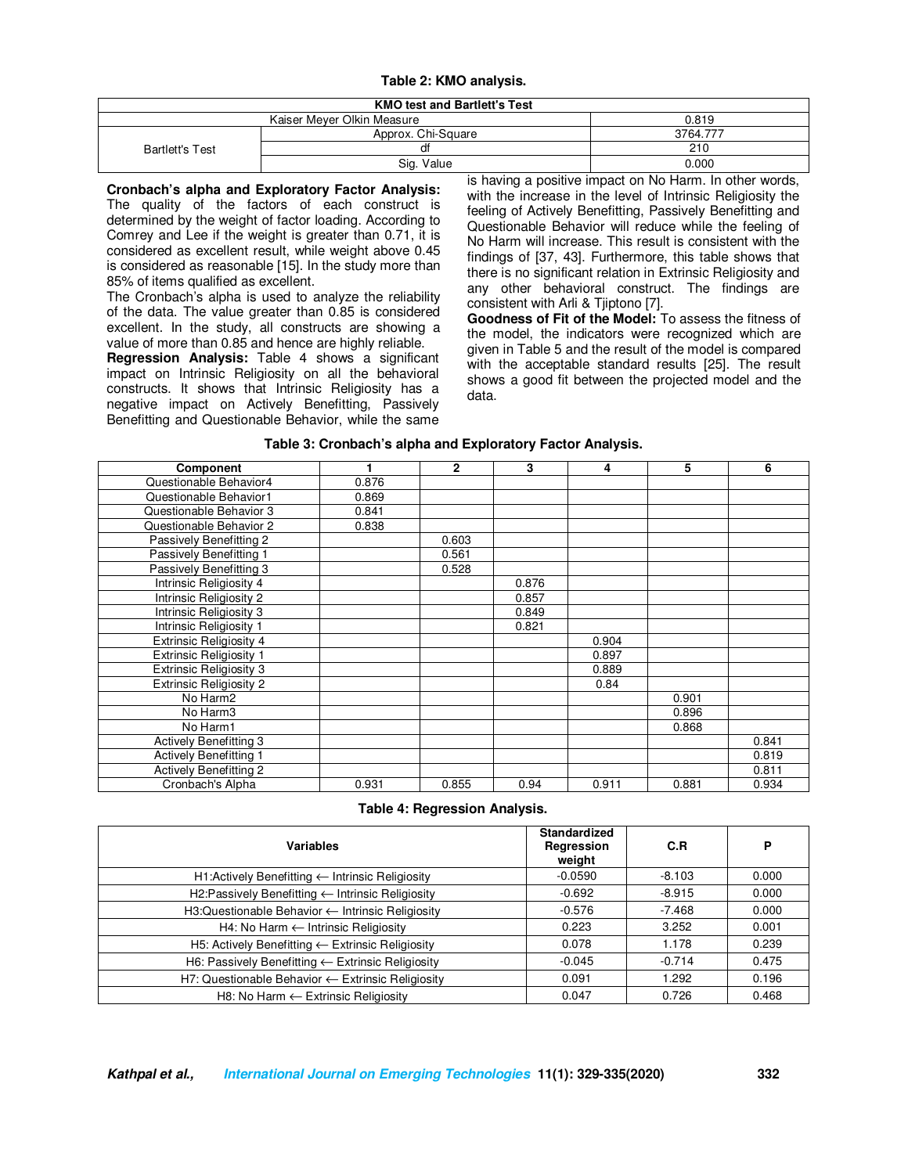# **Table 2: KMO analysis.**

| <b>KMO test and Bartlett's Test</b> |          |  |  |
|-------------------------------------|----------|--|--|
| Kaiser Meyer Olkin Measure          | 0.819    |  |  |
| Approx. Chi-Square                  | 3764.777 |  |  |
| đt                                  | 210      |  |  |
| Sig. Value                          | 0.000    |  |  |
|                                     |          |  |  |

**Cronbach's alpha and Exploratory Factor Analysis:**  The quality of the factors of each construct is determined by the weight of factor loading. According to Comrey and Lee if the weight is greater than 0.71, it is considered as excellent result, while weight above 0.45 is considered as reasonable [15]. In the study more than 85% of items qualified as excellent.

The Cronbach's alpha is used to analyze the reliability of the data. The value greater than 0.85 is considered excellent. In the study, all constructs are showing a value of more than 0.85 and hence are highly reliable.

**Regression Analysis:** Table 4 shows a significant impact on Intrinsic Religiosity on all the behavioral constructs. It shows that Intrinsic Religiosity has a negative impact on Actively Benefitting, Passively Benefitting and Questionable Behavior, while the same

is having a positive impact on No Harm. In other words, with the increase in the level of Intrinsic Religiosity the feeling of Actively Benefitting, Passively Benefitting and Questionable Behavior will reduce while the feeling of No Harm will increase. This result is consistent with the findings of [37, 43]. Furthermore, this table shows that there is no significant relation in Extrinsic Religiosity and any other behavioral construct. The findings are consistent with Arli & Tjiptono [7].

**Goodness of Fit of the Model:** To assess the fitness of the model, the indicators were recognized which are given in Table 5 and the result of the model is compared with the acceptable standard results [25]. The result shows a good fit between the projected model and the data.

### **Table 3: Cronbach's alpha and Exploratory Factor Analysis.**

| Component                      | ۴     | $\overline{2}$ | 3     | 4     | 5     | 6     |
|--------------------------------|-------|----------------|-------|-------|-------|-------|
| Questionable Behavior4         | 0.876 |                |       |       |       |       |
| Questionable Behavior1         | 0.869 |                |       |       |       |       |
| Questionable Behavior 3        | 0.841 |                |       |       |       |       |
| Questionable Behavior 2        | 0.838 |                |       |       |       |       |
| Passively Benefitting 2        |       | 0.603          |       |       |       |       |
| Passively Benefitting 1        |       | 0.561          |       |       |       |       |
| Passively Benefitting 3        |       | 0.528          |       |       |       |       |
| Intrinsic Religiosity 4        |       |                | 0.876 |       |       |       |
| Intrinsic Religiosity 2        |       |                | 0.857 |       |       |       |
| Intrinsic Religiosity 3        |       |                | 0.849 |       |       |       |
| Intrinsic Religiosity 1        |       |                | 0.821 |       |       |       |
| <b>Extrinsic Religiosity 4</b> |       |                |       | 0.904 |       |       |
| <b>Extrinsic Religiosity 1</b> |       |                |       | 0.897 |       |       |
| <b>Extrinsic Religiosity 3</b> |       |                |       | 0.889 |       |       |
| <b>Extrinsic Religiosity 2</b> |       |                |       | 0.84  |       |       |
| No Harm2                       |       |                |       |       | 0.901 |       |
| No Harm <sub>3</sub>           |       |                |       |       | 0.896 |       |
| No Harm1                       |       |                |       |       | 0.868 |       |
| <b>Actively Benefitting 3</b>  |       |                |       |       |       | 0.841 |
| <b>Actively Benefitting 1</b>  |       |                |       |       |       | 0.819 |
| <b>Actively Benefitting 2</b>  |       |                |       |       |       | 0.811 |
| Cronbach's Alpha               | 0.931 | 0.855          | 0.94  | 0.911 | 0.881 | 0.934 |

|  | Table 4: Regression Analysis. |  |  |
|--|-------------------------------|--|--|
|--|-------------------------------|--|--|

| <b>Variables</b>                                               | <b>Standardized</b><br>Regression<br>weight | C.R      | P     |
|----------------------------------------------------------------|---------------------------------------------|----------|-------|
| H1:Actively Benefitting ← Intrinsic Religiosity                | $-0.0590$                                   | $-8.103$ | 0.000 |
| H2:Passively Benefitting ← Intrinsic Religiosity               | $-0.692$                                    | $-8.915$ | 0.000 |
| $H3:Questionable Behavior \leftarrow Intrinsic Religiosity$    | $-0.576$                                    | $-7.468$ | 0.000 |
| H4: No Harm ← Intrinsic Religiosity                            | 0.223                                       | 3.252    | 0.001 |
| H5: Actively Benefitting < Extrinsic Religiosity               | 0.078                                       | 1.178    | 0.239 |
| H6: Passively Benefitting < Extrinsic Religiosity              | $-0.045$                                    | $-0.714$ | 0.475 |
| $H7:$ Questionable Behavior $\leftarrow$ Extrinsic Religiosity | 0.091                                       | 1.292    | 0.196 |
| H8: No Harm $\leftarrow$ Extrinsic Religiosity                 | 0.047                                       | 0.726    | 0.468 |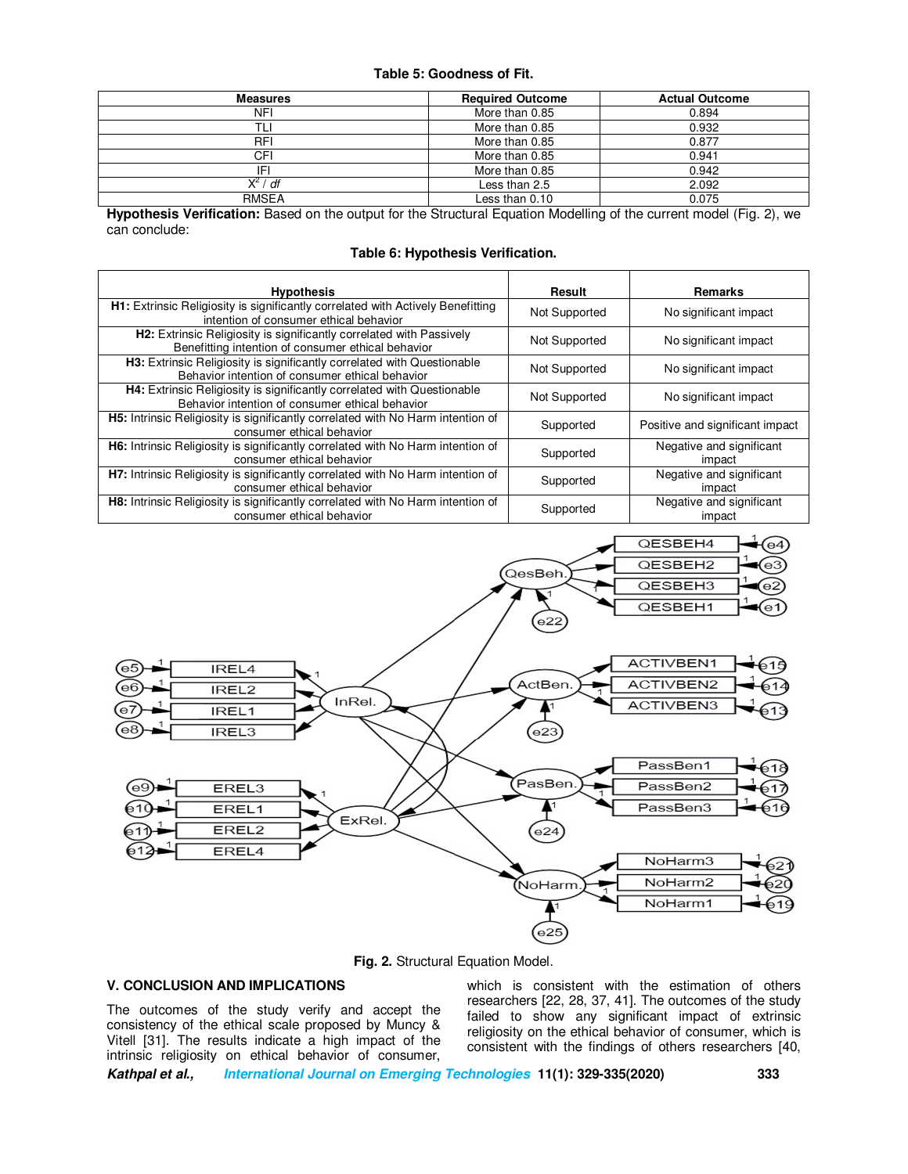## **Table 5: Goodness of Fit.**

| <b>Measures</b>               | <b>Required Outcome</b> | <b>Actual Outcome</b> |
|-------------------------------|-------------------------|-----------------------|
| NFI                           | More than 0.85          | 0.894                 |
|                               | More than 0.85          | 0.932                 |
| <b>RFI</b>                    | More than 0.85          | 0.877                 |
| CFI                           | More than 0.85          | 0.941                 |
| IF                            | More than 0.85          | 0.942                 |
| <b>Y</b> <sup>2</sup> /<br>df | Less than 2.5           | 2.092                 |
| <b>RMSEA</b>                  | Less than 0.10          | 0.075                 |

**Hypothesis Verification:** Based on the output for the Structural Equation Modelling of the current model (Fig. 2), we can conclude:

# **Table 6: Hypothesis Verification.**

| <b>Hypothesis</b>                                                                                                                 | Result        | Remarks                            |
|-----------------------------------------------------------------------------------------------------------------------------------|---------------|------------------------------------|
| H1: Extrinsic Religiosity is significantly correlated with Actively Benefitting<br>intention of consumer ethical behavior         | Not Supported | No significant impact              |
| <b>H2:</b> Extrinsic Religiosity is significantly correlated with Passively<br>Benefitting intention of consumer ethical behavior | Not Supported | No significant impact              |
| H3: Extrinsic Religiosity is significantly correlated with Questionable<br>Behavior intention of consumer ethical behavior        | Not Supported | No significant impact              |
| <b>H4:</b> Extrinsic Religiosity is significantly correlated with Questionable<br>Behavior intention of consumer ethical behavior | Not Supported | No significant impact              |
| <b>H5:</b> Intrinsic Religiosity is significantly correlated with No Harm intention of<br>consumer ethical behavior               | Supported     | Positive and significant impact    |
| H6: Intrinsic Religiosity is significantly correlated with No Harm intention of<br>consumer ethical behavior                      | Supported     | Negative and significant<br>impact |
| H7: Intrinsic Religiosity is significantly correlated with No Harm intention of<br>consumer ethical behavior                      | Supported     | Negative and significant<br>impact |
| <b>H8:</b> Intrinsic Religiosity is significantly correlated with No Harm intention of<br>consumer ethical behavior               | Supported     | Negative and significant<br>impact |



**Fig. 2.** Structural Equation Model.

# **V. CONCLUSION AND IMPLICATIONS**

The outcomes of the study verify and accept the consistency of the ethical scale proposed by Muncy & Vitell [31]. The results indicate a high impact of the intrinsic religiosity on ethical behavior of consumer,

which is consistent with the estimation of others researchers [22, 28, 37, 41]. The outcomes of the study failed to show any significant impact of extrinsic religiosity on the ethical behavior of consumer, which is consistent with the findings of others researchers [40,

**Kathpal et al., International Journal on Emerging Technologies 11(1): 329-335(2020) 333**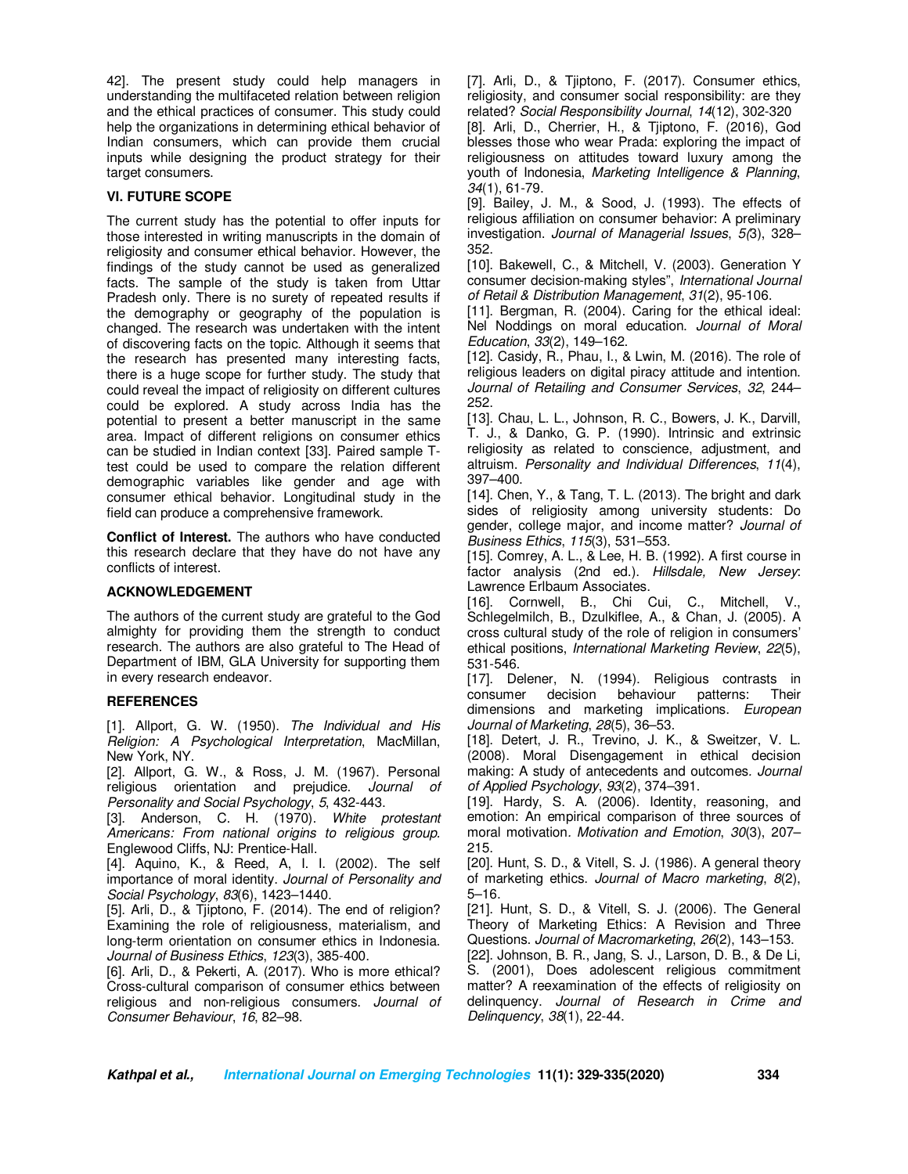42]. The present study could help managers in understanding the multifaceted relation between religion and the ethical practices of consumer. This study could help the organizations in determining ethical behavior of Indian consumers, which can provide them crucial inputs while designing the product strategy for their target consumers.

# **VI. FUTURE SCOPE**

The current study has the potential to offer inputs for those interested in writing manuscripts in the domain of religiosity and consumer ethical behavior. However, the findings of the study cannot be used as generalized facts. The sample of the study is taken from Uttar Pradesh only. There is no surety of repeated results if the demography or geography of the population is changed. The research was undertaken with the intent of discovering facts on the topic. Although it seems that the research has presented many interesting facts, there is a huge scope for further study. The study that could reveal the impact of religiosity on different cultures could be explored. A study across India has the potential to present a better manuscript in the same area. Impact of different religions on consumer ethics can be studied in Indian context [33]. Paired sample Ttest could be used to compare the relation different demographic variables like gender and age with consumer ethical behavior. Longitudinal study in the field can produce a comprehensive framework.

**Conflict of Interest.** The authors who have conducted this research declare that they have do not have any conflicts of interest.

# **ACKNOWLEDGEMENT**

The authors of the current study are grateful to the God almighty for providing them the strength to conduct research. The authors are also grateful to The Head of Department of IBM, GLA University for supporting them in every research endeavor.

# **REFERENCES**

[1]. Allport, G. W. (1950). *The Individual and His Religion: A Psychological Interpretation*, MacMillan, New York, NY.

[2]. Allport, G. W., & Ross, J. M. (1967). Personal religious orientation and prejudice. *Journal of Personality and Social Psychology*, *5*, 432-443.

[3]. Anderson, C. H. (1970). *White protestant Americans: From national origins to religious group.* Englewood Cliffs, NJ: Prentice-Hall.

[4]. Aquino, K., & Reed, A, I. I. (2002). The self importance of moral identity. *Journal of Personality and Social Psychology*, *83*(6), 1423–1440.

[5]. Arli, D., & Tjiptono, F. (2014). The end of religion? Examining the role of religiousness, materialism, and long-term orientation on consumer ethics in Indonesia. *Journal of Business Ethics*, *123*(3), 385-400.

[6]. Arli, D., & Pekerti, A. (2017). Who is more ethical? Cross-cultural comparison of consumer ethics between religious and non-religious consumers. *Journal of Consumer Behaviour*, *16*, 82–98.

[7]. Arli, D., & Tjiptono, F. (2017). Consumer ethics, religiosity, and consumer social responsibility: are they related? *Social Responsibility Journal*, *14*(12), 302-320

[8]. Arli, D., Cherrier, H., & Tjiptono, F. (2016), God blesses those who wear Prada: exploring the impact of religiousness on attitudes toward luxury among the youth of Indonesia, *Marketing Intelligence & Planning*, *34*(1), 61-79.

[9]. Bailey, J. M., & Sood, J. (1993). The effects of religious affiliation on consumer behavior: A preliminary investigation. *Journal of Managerial Issues*, *5(*3), 328– 352.

[10]. Bakewell, C., & Mitchell, V. (2003). Generation Y consumer decision-making styles", *International Journal of Retail & Distribution Management*, *31*(2), 95-106.

[11]. Bergman, R. (2004). Caring for the ethical ideal: Nel Noddings on moral education. *Journal of Moral Education*, *33*(2), 149–162.

[12]. Casidy, R., Phau, I., & Lwin, M. (2016). The role of religious leaders on digital piracy attitude and intention. *Journal of Retailing and Consumer Services*, *32*, 244– 252.

[13]. Chau, L. L., Johnson, R. C., Bowers, J. K., Darvill, T. J., & Danko, G. P. (1990). Intrinsic and extrinsic religiosity as related to conscience, adjustment, and altruism. *Personality and Individual Differences*, *11*(4), 397–400.

[14]. Chen, Y., & Tang, T. L. (2013). The bright and dark sides of religiosity among university students: Do gender, college major, and income matter? *Journal of Business Ethics*, *115*(3), 531–553.

[15]. Comrey, A. L., & Lee, H. B. (1992). A first course in factor analysis (2nd ed.). *Hillsdale, New Jersey*: Lawrence Erlbaum Associates.

[16]. Cornwell, B., Chi Cui, C., Mitchell, V., Schlegelmilch, B., Dzulkiflee, A., & Chan, J. (2005). A cross cultural study of the role of religion in consumers' ethical positions, *International Marketing Review*, *22*(5), 531-546.

[17]. Delener, N. (1994). Religious contrasts in consumer decision behaviour patterns: Their dimensions and marketing implications. *European Journal of Marketing*, *28*(5), 36–53.

[18]. Detert, J. R., Trevino, J. K., & Sweitzer, V. L. (2008). Moral Disengagement in ethical decision making: A study of antecedents and outcomes*. Journal of Applied Psychology*, *93*(2), 374–391.

[19]. Hardy, S. A. (2006). Identity, reasoning, and emotion: An empirical comparison of three sources of moral motivation*. Motivation and Emotion*, *30*(3), 207– 215.

[20]. Hunt, S. D., & Vitell, S. J. (1986). A general theory of marketing ethics. *Journal of Macro marketing*, *8*(2), 5–16.

[21]. Hunt, S. D., & Vitell, S. J. (2006). The General Theory of Marketing Ethics: A Revision and Three Questions. *Journal of Macromarketing*, *26*(2), 143–153.

[22]. Johnson, B. R., Jang, S. J., Larson, D. B., & De Li, S. (2001), Does adolescent religious commitment matter? A reexamination of the effects of religiosity on delinquency. *Journal of Research in Crime and Delinquency*, *38*(1), 22-44.